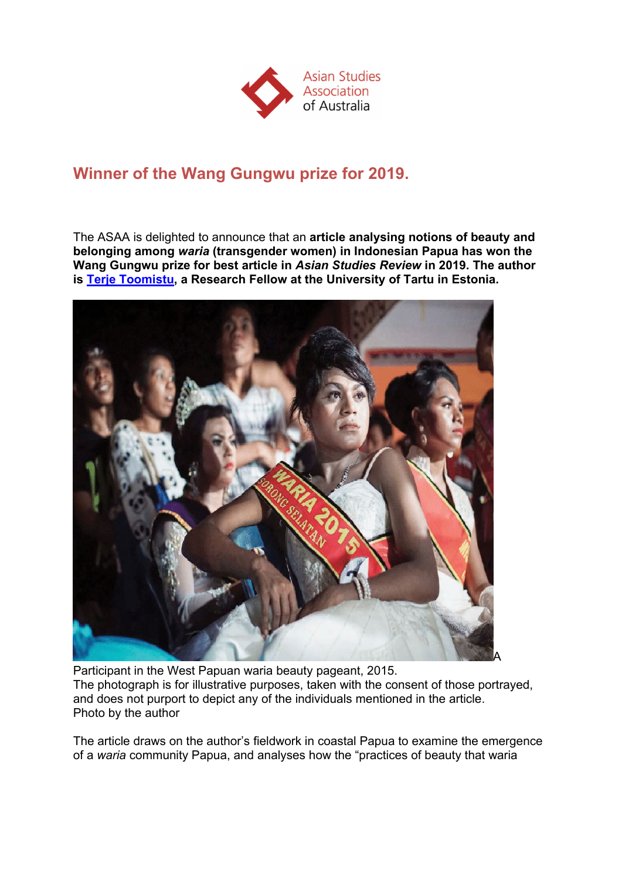

## **Winner of the Wang Gungwu prize for 2019.**

The ASAA is delighted to announce that an **article analysing notions of beauty and belonging among** *waria* **(transgender women) in Indonesian Papua has won the Wang Gungwu prize for best article in** *Asian Studies Review* **in 2019. The author is Terje Toomistu, a Research Fellow at the University of Tartu in Estonia.**



Participant in the West Papuan waria beauty pageant, 2015. The photograph is for illustrative purposes, taken with the consent of those portrayed, and does not purport to depict any of the individuals mentioned in the article. Photo by the author

The article draws on the author's fieldwork in coastal Papua to examine the emergence of a *waria* community Papua, and analyses how the "practices of beauty that waria